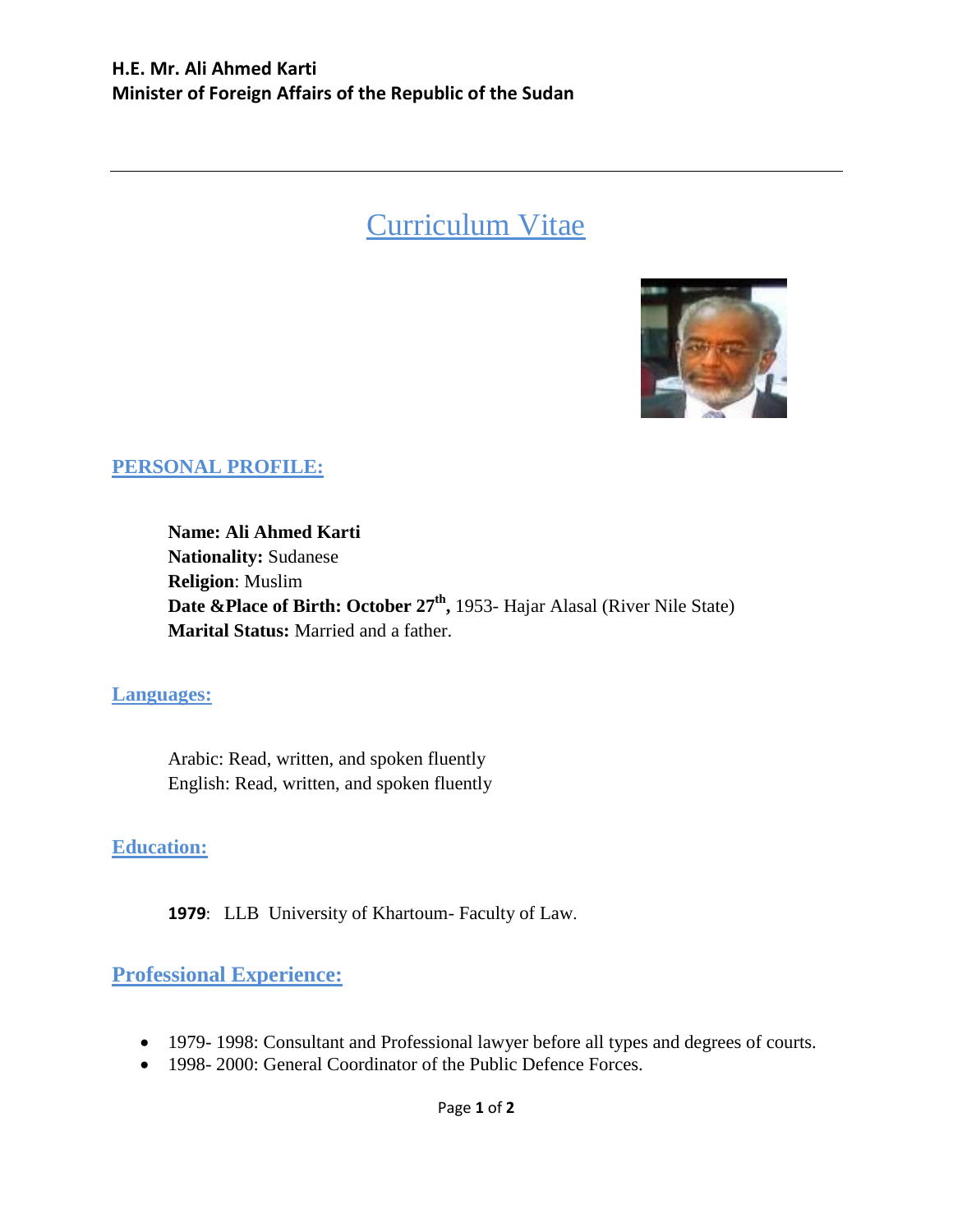# Curriculum Vitae



## **PERSONAL PROFILE:**

**Name: Ali Ahmed Karti Nationality:** Sudanese **Religion**: Muslim **Date &Place of Birth: October 27th ,** 1953- Hajar Alasal (River Nile State) **Marital Status:** Married and a father.

#### **Languages:**

Arabic: Read, written, and spoken fluently English: Read, written, and spoken fluently

#### **Education:**

**1979**: LLB University of Khartoum- Faculty of Law.

### **Professional Experience:**

- 1979- 1998: Consultant and Professional lawyer before all types and degrees of courts.
- 1998- 2000: General Coordinator of the Public Defence Forces.